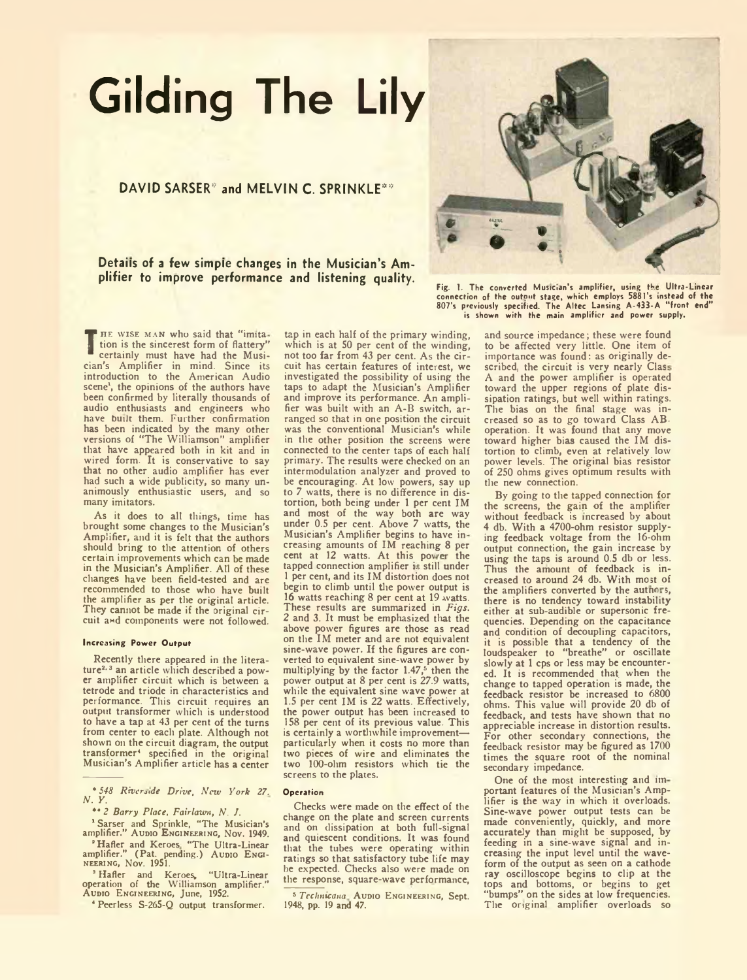# **Gilding The Lily**

## **DAVID SARSER\*** and MELVIN C. SPRINKLE\*\*

**Details of a few simple changes in the Musician's Amplifier to improve performance and listening quality.**

**THE WISE MAN who said that "imita-**<br> **The interventially must have had the Musi-**<br>
cian's Amplifier in mind. Since its tion is the sincerest form of flattery" certainly must have had the Musician's Amplifier in mind. Since its introduction to the American Audio scene', the opinions of the authors have been confirmed by literally thousands of audio enthusiasts and engineers who have built them. Further confirmation has been indicated by the many other versions of "The Williamson" amplifier that have appeared both in kit and in wired form. It is conservative to say that no other audio amplifier has ever had such a wide publicity, so many unanimously enthusiastic users, and so many imitators.

As it does to all things, time has brought some changes to the Musician's Amplifier, and it is felt that the authors should bring to the attention of others certain improvements which can be made in the Musician's Amplifier. All of these changes have been field-tested and are recommended to those who have built the amplifier as per the original article. They cannot be made if the original circuit and components were not followed.

#### Increasing Power Output

Recently there appeared in the literature<sup>2, 3</sup> an article which described a power amplifier circuit which is between a tetrode and triode in characteristics and performance. This circuit requires an output transformer which is understood to have a tap at 43 per cent of the turns from center to each plate. Although not shown on the circuit diagram, the output transformer<sup>4</sup> specified in the original Musician's Amplifier article has a center

\* *548 Riverside Drive, New York 27. N. Y.*

*\*\* 2 Barry Place, Fairlawn, N. J.*

<sup>1</sup> Sarser and Sprinkle, "The Musician's<br>amplifier." Aupio Engineering, Nov. 1949.

<sup>2</sup> Hafler and Keroes "The Ultra-Linear<br>amplifier." (Pat. pending.) Aupio Engi-<br>NEERING, Nov. 1951.

<sup>3</sup> Hafler and Keroes, "Ultra-Linear<br>operation of the Williamson amplifier."<br>Aupio Engineering, June, 1952.

4 Peerless S-26S-Q output transformer.

tap in each half of the primary winding, which is at 50 per cent of the winding, not too far from 43 per cent. As the circuit has certain features of interest, we investigated the possibility of using the taps to adapt the Musician's Amplifier and improve its performance. An amplifier was built with an A-B switch, arranged so that in one position the circuit was the conventional Musician's while in the other position the screens were connected to the center taps of each half primary. The results were checked on an intermodulation analyzer and proved to be encouraging. At low powers, say up to 7 watts, there is no difference in distortion, both being under 1 per cent IM and most of the way both are way under 0.5 per cent. Above 7 watts, the Musician's Amplifier begins to have in creasing amounts of IM reaching 8 per cent at 12 watts. At this power the tapped connection amplifier is still under 1 per cent, and its IM distortion does not begin to climb until the power output is 16 watts reaching 8 per cent at 19 watts. These results are summarized in *Figs. 2* and 3. It must be emphasized that the above power figures are those as read on the IM meter and are not equivalent sine-wave power. If the figures are converted to equivalent sine-wave power by multiplying by the factor  $1.47<sup>5</sup>$  then the power output at 8 per cent is 27.9 watts, while the equivalent sine wave power at 1.5 per cent IM is 22 watts. Effectively, the power output has been increased to 158 per cent of its previous value. This is certainly a worthwhile improvement particularly when it costs no more than two pieces of wire and eliminates the two 100-ohm resistors which tie the screens to the plates.

#### **Operation**

Checks were made on the effect of the change on the plate and screen currents and on dissipation at both full-signal and quiescent conditions. It was found that the tubes were operating within ratings so that satisfactory tube life may be expected. Checks also were made on the response, square-wave performance,

5 *Technicana* Aupio Engineering, Sept.<br>1948, pp. 19 and 47.



Fig. 1. The converted Musician's amplifier, using the Ultra-Linear connection of the outnnt stage, which employs 5881 's instead of the 807's previously specified The Altec Lansing A-433-A " front end" is shown with the main amplifier and power supply.

and source impedance; these were found to be affected very little. One item of importance was found: as originally described, the circuit is very nearly Clas A and the power amplifier is operated toward the upper regions of plate dissipation ratings, but well within ratings. The bias on the final stage was increased so as to go toward Class ABoperation. It was found that any move toward higher bias caused the IM distortion to climb, even at relatively low power levels. The original bias resistor of 250 ohms gives optimum results with the new connection.

By going to the tapped connection for the screens, the gain of the amplifier without feedback is increased by about 4 db. With a 4700-ohm resistor supplying feedback voltage from the 16-ohm output connection, the gain increase by using the taps is around 0.5 db or less. Thus the amount of feedback is increased to around 24 db. With most of the amplifiers converted by the authors, there is no tendency toward instability either at sub-audible or supersonic frequencies. Depending on the capacitance and condition of decoupling capacitors, it is possible that a tendency of the loudspeaker to "breathe" or oscillate slowly at 1 cps or less may be encountered. It is recommended that, when the change to tapped operation is made, the feedback resistor be increased to 6800 ohms. This value will provide 20 db of feedback, and tests have shown that no appreciable increase in distortion results. For other secondary connections, the feedback resistor may be figured as 1700 times the square root of the nominal secondary impedance.

One of the most interesting and important features of the Musician's Amplifier is the way in which it overloads. Sine-wave power output tests can be made conveniently, quickly, and more accurately than might be supposed, by feeding in a sine-wave signal and increasing the input level until the waveform of the output as seen on a cathode ray oscilloscope begins to clip at the tops and bottoms, or begins to get "bumps" on the sides at low frequencies. The original amplifier overloads so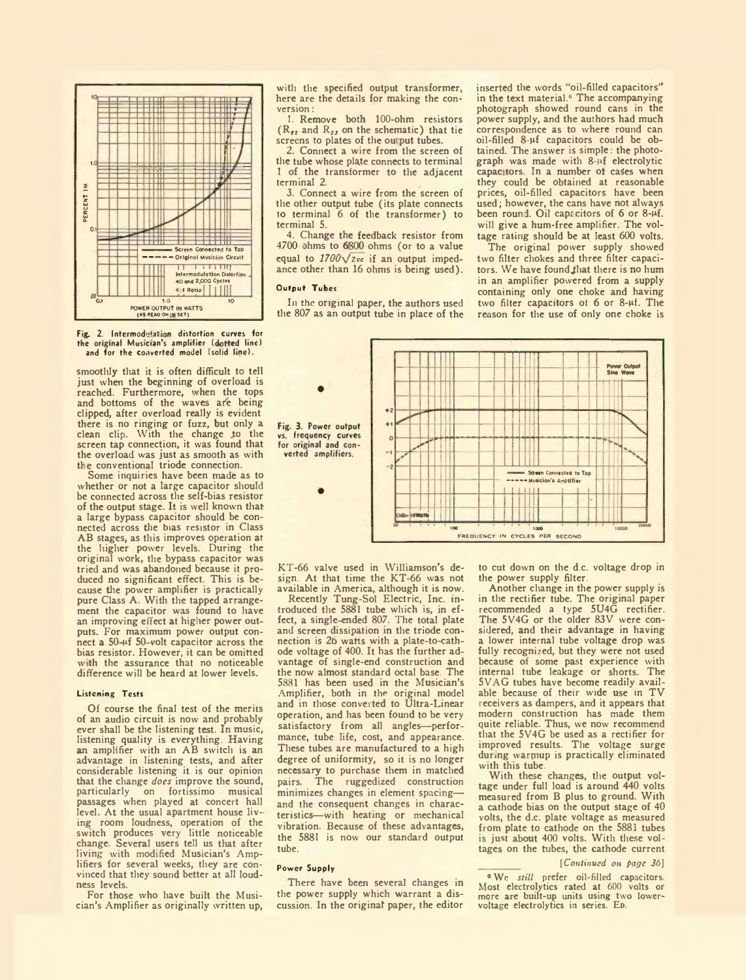

Fig. 2. Intermodulation distortion curves for the original Musician's amplifier (dotted line) and for the converted model (solid line).

smoothly that it is often difficult to tell just when the beginning of overload is reached. Furthermore, when the tops and bottoms of the waves ate being clipped, after overload really is evident there is no ringing or fuzz, but only a clean clip. With the change to the screen tap connection, it was found that the overload was just as smooth as with the conventional triode connection.

Some inquiries have been made as to whether or not a large capacitor should be connected across the self-bias resistor of the output stage. It is well known that a large bypass capacitor should be connected across the bias resistor in Class AB stages, as this improves operation at the higher power levels. During the original work, the bypass capacitor was tried and was abandoned because it produced no significant effect. This is because the power amplifier is practically pure Class A. With the tapped arrangement the capacitor was found to have an improving effect at higher power outputs. For maximum power output connect a  $50 - \mu f$  50-volt capacitor across the bias resistor. However, it can be omitted with the assurance that no noticeable difference will be heard at lower levels.

#### Listening Tests

Of course the final test of the merits of an audio circuit is now and probably ever shall be the listening test. In music, listening quality is everything. Having an amplifier with an AB switch is an advantage in listening tests, and after considerable listening it is our opinion that the change *does* improve the sound, on fortissimo passages when played at concert hall level. At the usual apartment house living room loudness, operation of the switch produces very little noticeable change. Several users tell us that after living with modified Musician's Amplifiers for several weeks, they are convinced that they sound better at all loudness levels.

For those who have built the Musician's Amplifier as originally written up, with the specified output transformer, here are the details for making the conversion :

1. Remove both 100-ohm resistors  $(R_{22}$  and  $R_{23}$  on the schematic) that tie screens to plates of the output tubes.

2. Connect a wire from the screen of the tube whose plate connects to terminal 1 of the transformer to the adjacent terminal 2.

3. Connect a wire from the screen of the other output tube (its plate connects to terminal 6 of the transformer) to terminal 5.

4. Change the feedback resistor from 4700 ohms to 6800 ohms (or to a value equal to  $1700\sqrt{z}$ <sub>vc</sub> if an output impedance other than 16 ohms is being used).

### Output Tubes

In the original paper, the authors used the 807 as an output tube in place of the inserted the words "oil-filled capacitors" in the text material.6 The accompanying photograph showed round cans in the power supply, and the authors had much correspondence as to where round can oil-filled 8-pf capacitors could be obtained. The answer is simple: the photograph was made with 8-uf electrolytic capacitors. In a number of cases when they could be obtained at reasonable prices, oil-filled capacitors have been used; however, the cans have not always been round. Oil capacitors of 6 or 8- $\mu$ f. will give a hum-free amplifier. The voltage rating should be at least 600 volts.

The original power supply showed two filter chokes and three filter capacitors. We have found Jhat there is no hum in an amplifier powered from a supply containing only one choke and having two filter capacitors ot 6 or 8-pt. The reason for the use of only one choke is



KT-66 valve used in Williamson's design. At that time the KT-66 was not available in America, although it is now.

Recently Tung-Sol Electric, Inc. introduced the 5881 tube which is, in ef-fect, a single ended 807. The total plate and screen dissipation in the triode connection is 26 watts with a plate-to-cathode voltage of 400. It has the further advantage of single-end construction and the now almost standard octal base. The 5881 has been used in the Musician's Amplifier, both in the original model and in those converted to Ultra-Linear operation, and has been found to be very satisfactory from all angles—performance, tube life, cost, and appearance. These tubes are manufactured to a high degree of uniformity, so it is no longer necessary to purchase them in matched pairs. The ruggedized construction minimizes changes in element spacing and the consequent changes in characteristics—with heating or mechanical vibration. Because of these advantages, the 5881 is now our standard output tube.

#### power Suppiy

There have been several changes in the power supply which warrant a discussion. In the original paper, the editor

to cut down on the d.c. voltage drop in the power supply filter.

Another change in the power supply is in the rectifier tube. The original paper recommended a type 5U4G rectifier. The 5V4G or the older 83V were considered, and their advantage in having a lower internal tube voltage drop was fully recognized, but they were not used because of some past experience with internal tube leakage or shorts. The 5VAG tubes have become readily available because of their wide use in TV receivers as dampers, and it appears that modern construction has made them quite reliable. Thus, we now recommend that the 5V4G be used as a rectifier for improved results. The voltage surge during warmup is practically eliminated with this tube.

With these changes, the output voltage under full load is around 440 volts measured from B plus to ground. With a cathode bias on the output stage of 40 volts, the d.c. plate voltage as measured from plate to cathode on the 5881 tubes is just about 400 volts. With these voltages on the tubes, the cathode current

#### [ *Continued on page 36]*

■ Wc *still* prefer oil-filled capacitors. Most electrolytics rated at 600 volts or mere are built-up units using two lower voltage electrolytics in series. ED.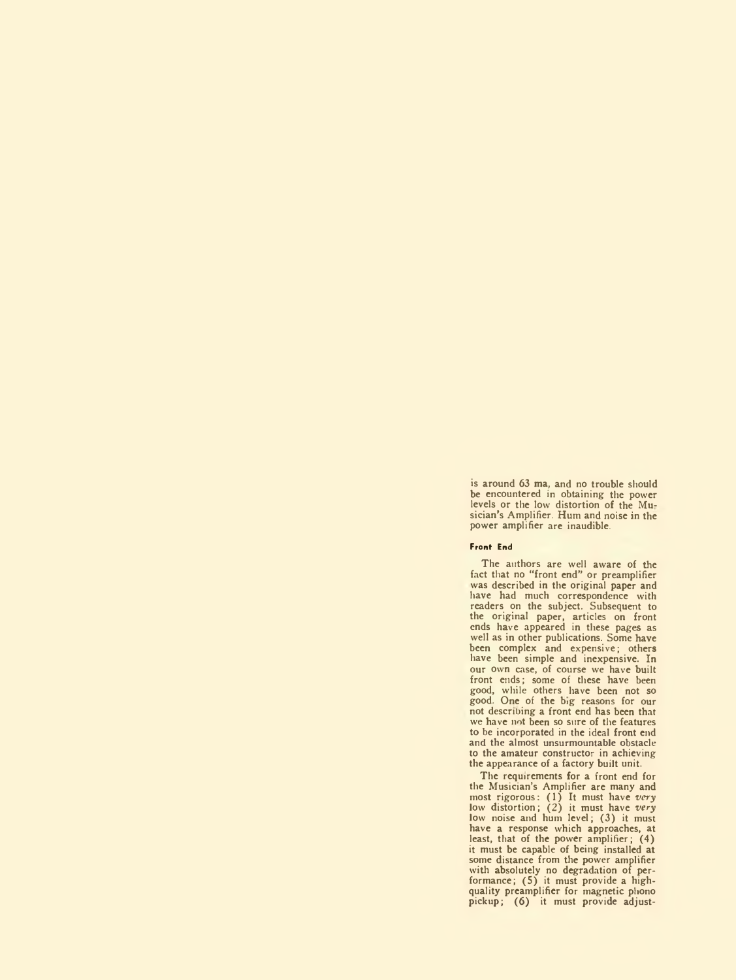is around 63 ma, and no trouble should be encountered in obtaining the power levels or the low distortion of the Mu-sician's Amplifier. Hum and noise in the power amplifier are inaudible.

#### Front End

The authors are well aware of the fact that no "front end" or preamplifier was described in the original paper and have had much correspondence with readers on the subject. Subsequent to the original paper, articles on front ends have appeared in these pages as well as in other publications. Some have been complex and expensive; others have been simple and inexpensive. In our own case, of course we have built front ends; some of these have been good, while others have been not so good. One of the big reasons for our not describing a front end has been that we have not been so sure of the features to be incorporated in the ideal front end and the almost unsurmountable obstacle to the amateur constructor in achieving the appearance of a factory built unit.

The requirements for a front end for the Musician's Amplifier are many and most rigorous: (1) It must have *very* low distortion; (2) it must have *very* low noise and hum level; (3) it must have a response which approaches, at least, that of the power amplifier; (4) it must be capable of being installed at some distance from the power amplifier with absolutely no degradation of per-formance; (S) it must provide a highquality preamplifier for magnetic phono pickup; (6) it must provide adjust